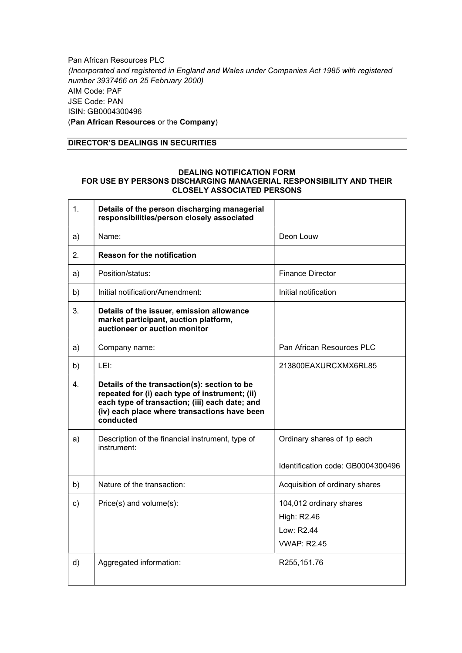Pan African Resources PLC (Incorporated and registered in England and Wales under Companies Act 1985 with registered number 3937466 on 25 February 2000) AIM Code: PAF JSE Code: PAN ISIN: GB0004300496 (Pan African Resources or the Company)

### DIRECTOR'S DEALINGS IN SECURITIES

#### DEALING NOTIFICATION FORM FOR USE BY PERSONS DISCHARGING MANAGERIAL RESPONSIBILITY AND THEIR CLOSELY ASSOCIATED PERSONS

| 1. | Details of the person discharging managerial<br>responsibilities/person closely associated                                                                                                                    |                                                                            |
|----|---------------------------------------------------------------------------------------------------------------------------------------------------------------------------------------------------------------|----------------------------------------------------------------------------|
| a) | Name:                                                                                                                                                                                                         | Deon Louw                                                                  |
| 2. | <b>Reason for the notification</b>                                                                                                                                                                            |                                                                            |
| a) | Position/status:                                                                                                                                                                                              | <b>Finance Director</b>                                                    |
| b) | Initial notification/Amendment:                                                                                                                                                                               | Initial notification                                                       |
| 3. | Details of the issuer, emission allowance<br>market participant, auction platform,<br>auctioneer or auction monitor                                                                                           |                                                                            |
| a) | Company name:                                                                                                                                                                                                 | Pan African Resources PLC                                                  |
| b) | LEI:                                                                                                                                                                                                          | 213800EAXURCXMX6RL85                                                       |
| 4. | Details of the transaction(s): section to be<br>repeated for (i) each type of instrument; (ii)<br>each type of transaction; (iii) each date; and<br>(iv) each place where transactions have been<br>conducted |                                                                            |
| a) | Description of the financial instrument, type of<br>instrument:                                                                                                                                               | Ordinary shares of 1p each<br>Identification code: GB0004300496            |
| b) | Nature of the transaction:                                                                                                                                                                                    | Acquisition of ordinary shares                                             |
| c) | Price(s) and volume(s):                                                                                                                                                                                       | 104,012 ordinary shares<br>High: R2.46<br>Low: R2.44<br><b>VWAP: R2.45</b> |
| d) | Aggregated information:                                                                                                                                                                                       | R255,151.76                                                                |